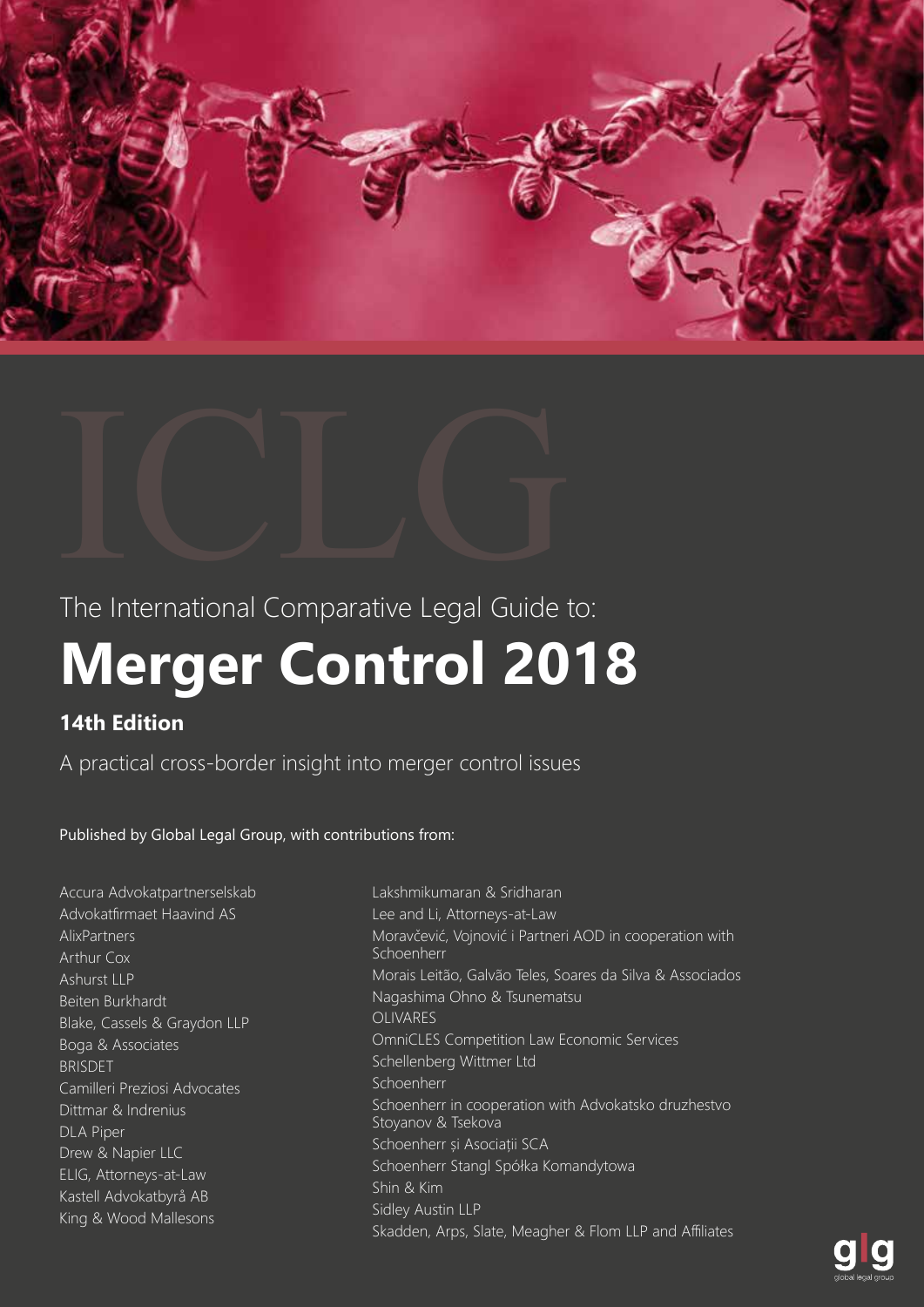



The International Comparative Legal Guide to:

# **Merger Control 2018**

# **14th Edition**

A practical cross-border insight into merger control issues

Published by Global Legal Group, with contributions from:

- Accura Advokatpartnerselskab Advokatfirmaet Haavind AS AlixPartners Arthur Cox Ashurst LLP Beiten Burkhardt Blake, Cassels & Graydon LLP Boga & Associates BRISDET Camilleri Preziosi Advocates Dittmar & Indrenius DLA Piper Drew & Napier LLC ELIG, Attorneys-at-Law Kastell Advokatbyrå AB King & Wood Mallesons
- Lakshmikumaran & Sridharan Lee and Li, Attorneys-at-Law Moravčević, Vojnović i Partneri AOD in cooperation with Schoenherr Morais Leitão, Galvão Teles, Soares da Silva & Associados Nagashima Ohno & Tsunematsu OLIVARES OmniCLES Competition Law Economic Services Schellenberg Wittmer Ltd Schoenherr Schoenherr in cooperation with Advokatsko druzhestvo Stoyanov & Tsekova Schoenherr și Asociații SCA Schoenherr Stangl Spółka Komandytowa Shin & Kim Sidley Austin LLP Skadden, Arps, Slate, Meagher & Flom LLP and Affiliates

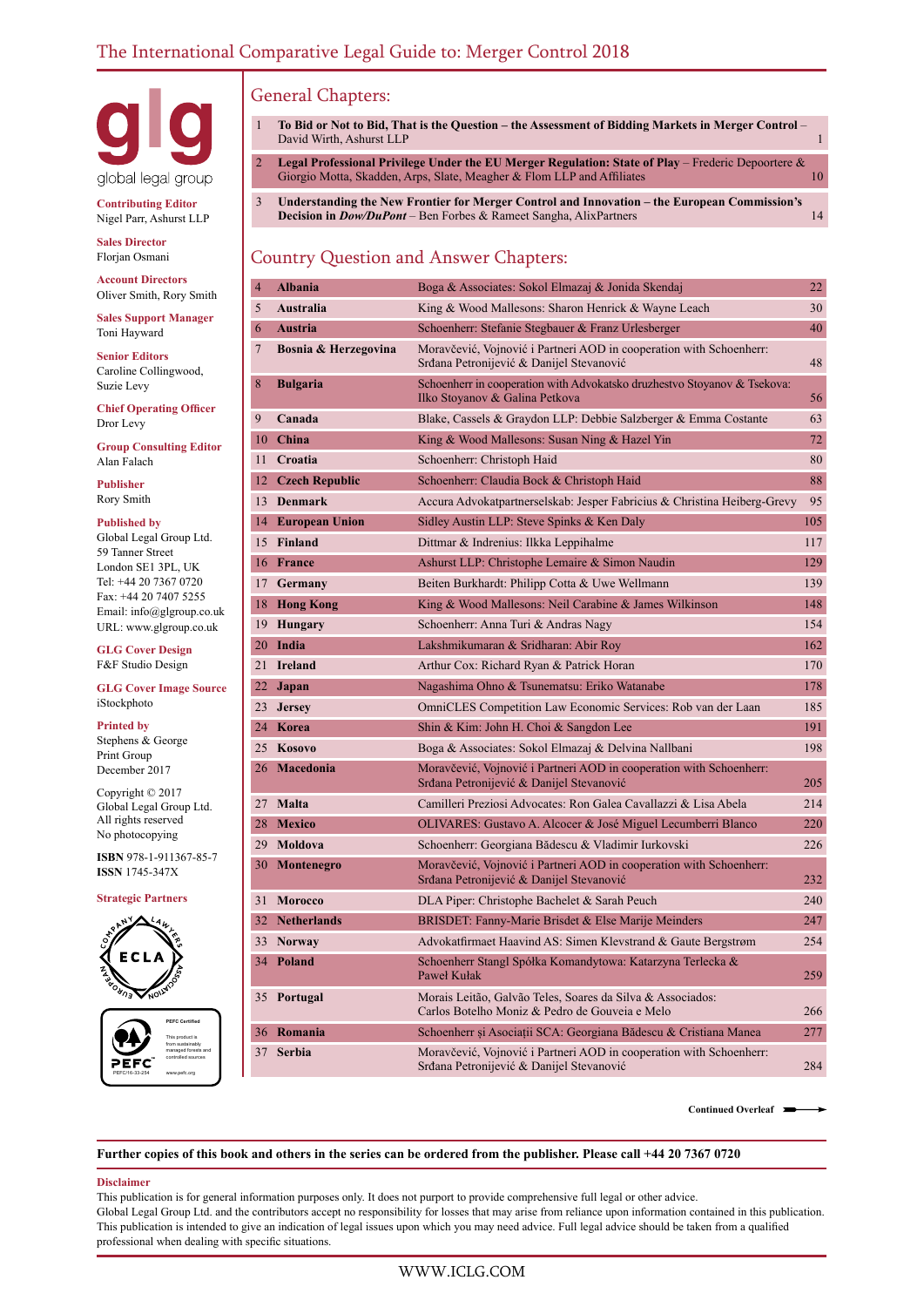

**Contributing Editor** Nigel Parr, Ashurst LLP

**Sales Director** Florjan Osmani

**Account Directors** Oliver Smith, Rory Smith

**Sales Support Manager** Toni Hayward **Senior Editors** Caroline Collingwood,

**Chief Operating Officer** Dror Levy

**Group Consulting Editor** Alan Falach

**Publisher** Rory Smith

Suzie Levy

#### **Published by**

Global Legal Group Ltd. 59 Tanner Street London SE1 3PL, UK Tel: +44 20 7367 0720 Fax: +44 20 7407 5255 Email: info@glgroup.co.uk URL: www.glgroup.co.uk

**GLG Cover Design** F&F Studio Design

#### **GLG Cover Image Source** iStockphoto

#### **Printed by**

Stephens & George Print Group December 2017

Copyright © 2017 Global Legal Group Ltd. All rights reserved No photocopying

**ISBN** 978-1-911367-85-7 **ISSN** 1745-347X

#### **Strategic Partners**



PEFC/16-33-254 **PEFC Certified** This product is from sustainably managed forests and controlled sources www.pefc.org

# General Chapters:

- 1 **To Bid or Not to Bid, That is the Question the Assessment of Bidding Markets in Merger Control**  David Wirth, Ashurst LLP 1
- 2 **Legal Professional Privilege Under the EU Merger Regulation: State of Play** Frederic Depoortere & Giorgio Motta, Skadden, Arps, Slate, Meagher & Flom LLP and Affiliates 10
- 3 **Understanding the New Frontier for Merger Control and Innovation the European Commission's Decision in** *Dow/DuPont* – Ben Forbes & Rameet Sangha, AlixPartners 14

## Country Question and Answer Chapters:

| 4               | <b>Albania</b>       | Boga & Associates: Sokol Elmazaj & Jonida Skendaj                                                               | 22  |
|-----------------|----------------------|-----------------------------------------------------------------------------------------------------------------|-----|
| 5               | Australia            | King & Wood Mallesons: Sharon Henrick & Wayne Leach                                                             | 30  |
| 6               | <b>Austria</b>       | Schoenherr: Stefanie Stegbauer & Franz Urlesberger                                                              | 40  |
| 7               | Bosnia & Herzegovina | Moravčević, Vojnović i Partneri AOD in cooperation with Schoenherr:<br>Srđana Petronijević & Danijel Stevanović | 48  |
| 8               | Bulgaria             | Schoenherr in cooperation with Advokatsko druzhestvo Stoyanov & Tsekova:<br>Ilko Stoyanov & Galina Petkova      | 56  |
| 9               | Canada               | Blake, Cassels & Graydon LLP: Debbie Salzberger & Emma Costante                                                 | 63  |
| 10              | China                | King & Wood Mallesons: Susan Ning & Hazel Yin                                                                   | 72  |
| 11              | Croatia              | Schoenherr: Christoph Haid                                                                                      | 80  |
|                 | 12 Czech Republic    | Schoenherr: Claudia Bock & Christoph Haid                                                                       | 88  |
|                 | 13 Denmark           | Accura Advokatpartnerselskab: Jesper Fabricius & Christina Heiberg-Grevy                                        | 95  |
|                 | 14 European Union    | Sidley Austin LLP: Steve Spinks & Ken Daly                                                                      | 105 |
|                 | 15 Finland           | Dittmar & Indrenius: Ilkka Leppihalme                                                                           | 117 |
|                 | 16 France            | Ashurst LLP: Christophe Lemaire & Simon Naudin                                                                  | 129 |
| 17 <sup>7</sup> | Germany              | Beiten Burkhardt: Philipp Cotta & Uwe Wellmann                                                                  | 139 |
|                 | 18 Hong Kong         | King & Wood Mallesons: Neil Carabine & James Wilkinson                                                          | 148 |
|                 | 19 Hungary           | Schoenherr: Anna Turi & Andras Nagy                                                                             | 154 |
|                 | 20 India             | Lakshmikumaran & Sridharan: Abir Roy                                                                            | 162 |
| 21              | Ireland              | Arthur Cox: Richard Ryan & Patrick Horan                                                                        | 170 |
| 22              | Japan                | Nagashima Ohno & Tsunematsu: Eriko Watanabe                                                                     | 178 |
| 23              | <b>Jersey</b>        | OmniCLES Competition Law Economic Services: Rob van der Laan                                                    | 185 |
|                 | 24 Korea             | Shin & Kim: John H. Choi & Sangdon Lee                                                                          | 191 |
|                 | 25 Kosovo            | Boga & Associates: Sokol Elmazaj & Delvina Nallbani                                                             | 198 |
|                 | 26 Macedonia         | Moravčević, Vojnović i Partneri AOD in cooperation with Schoenherr:<br>Srđana Petronijević & Danijel Stevanović | 205 |
|                 | 27 Malta             | Camilleri Preziosi Advocates: Ron Galea Cavallazzi & Lisa Abela                                                 | 214 |
|                 | 28 Mexico            | OLIVARES: Gustavo A. Alcocer & José Miguel Lecumberri Blanco                                                    | 220 |
|                 | 29 Moldova           | Schoenherr: Georgiana Bădescu & Vladimir Iurkovski                                                              | 226 |
|                 | 30 Montenegro        | Moravčević, Vojnović i Partneri AOD in cooperation with Schoenherr:<br>Srđana Petronijević & Danijel Stevanović | 232 |
|                 | 31 Morocco           | DLA Piper: Christophe Bachelet & Sarah Peuch                                                                    | 240 |
|                 | 32 Netherlands       | BRISDET: Fanny-Marie Brisdet & Else Marije Meinders                                                             | 247 |
|                 | 33 Norway            | Advokatfirmaet Haavind AS: Simen Klevstrand & Gaute Bergstrøm                                                   | 254 |
|                 | 34 Poland            | Schoenherr Stangl Spółka Komandytowa: Katarzyna Terlecka &<br>Paweł Kułak                                       | 259 |
|                 | 35 Portugal          | Morais Leitão, Galvão Teles, Soares da Silva & Associados:<br>Carlos Botelho Moniz & Pedro de Gouveia e Melo    | 266 |
|                 | 36 Romania           | Schoenherr și Asociații SCA: Georgiana Bădescu & Cristiana Manea                                                | 277 |
| 37              | <b>Serbia</b>        | Moravčević, Vojnović i Partneri AOD in cooperation with Schoenherr:<br>Srđana Petronijević & Danijel Stevanović | 284 |

**Continued Overleaf**

#### **Further copies of this book and others in the series can be ordered from the publisher. Please call +44 20 7367 0720**

#### **Disclaimer**

This publication is for general information purposes only. It does not purport to provide comprehensive full legal or other advice. Global Legal Group Ltd. and the contributors accept no responsibility for losses that may arise from reliance upon information contained in this publication. This publication is intended to give an indication of legal issues upon which you may need advice. Full legal advice should be taken from a qualified professional when dealing with specific situations.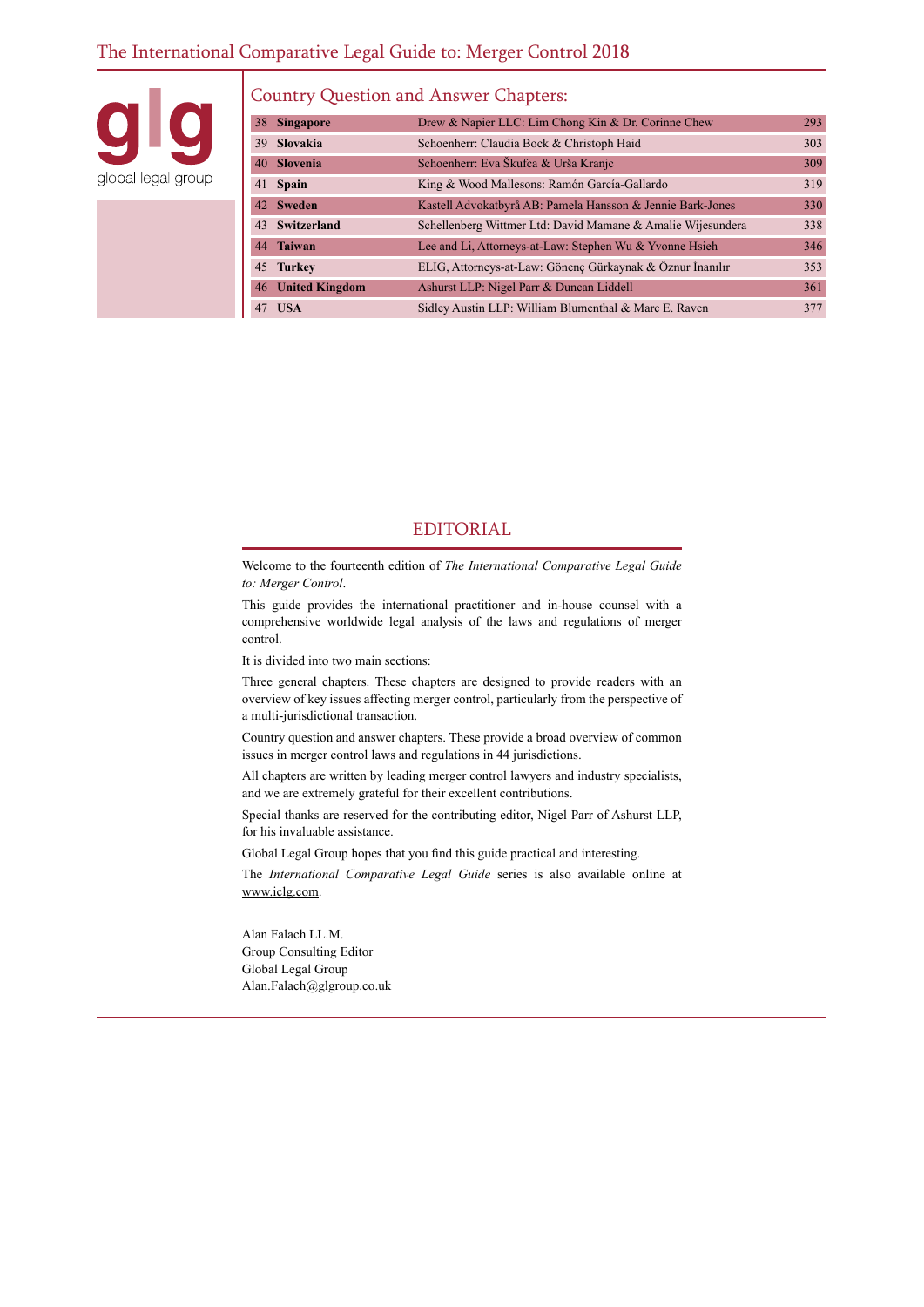### The International Comparative Legal Guide to: Merger Control 2018

global legal group

#### Country Question and Answer Chapters:

| 38 | <b>Singapore</b>  | Drew & Napier LLC: Lim Chong Kin & Dr. Corinne Chew         | 293        |
|----|-------------------|-------------------------------------------------------------|------------|
|    | 39 Slovakia       | Schoenherr: Claudia Bock & Christoph Haid                   | 303        |
|    | 40 Slovenia       | Schoenherr: Eva Škufca & Urša Kranjc                        | 309        |
|    | 41 Spain          | King & Wood Mallesons: Ramón García-Gallardo                | 319        |
|    | 42 Sweden         | Kastell Advokatbyrå AB: Pamela Hansson & Jennie Bark-Jones  | <b>330</b> |
|    | 43 Switzerland    | Schellenberg Wittmer Ltd: David Mamane & Amalie Wijesundera | 338        |
|    | 44 Taiwan         | Lee and Li, Attorneys-at-Law: Stephen Wu & Yvonne Hsieh     | 346        |
|    | 45 Turkey         | ELIG, Attorneys-at-Law: Gönenç Gürkaynak & Öznur İnanılır   | 353        |
|    | 46 United Kingdom | Ashurst LLP: Nigel Parr & Duncan Liddell                    | 361        |
|    | 47 USA            | Sidley Austin LLP: William Blumenthal & Marc E. Raven       | 377        |

#### EDITORIAL

Welcome to the fourteenth edition of *The International Comparative Legal Guide to: Merger Control*.

This guide provides the international practitioner and in-house counsel with a comprehensive worldwide legal analysis of the laws and regulations of merger control.

It is divided into two main sections:

Three general chapters. These chapters are designed to provide readers with an overview of key issues affecting merger control, particularly from the perspective of a multi-jurisdictional transaction.

Country question and answer chapters. These provide a broad overview of common issues in merger control laws and regulations in 44 jurisdictions.

All chapters are written by leading merger control lawyers and industry specialists, and we are extremely grateful for their excellent contributions.

Special thanks are reserved for the contributing editor, Nigel Parr of Ashurst LLP, for his invaluable assistance.

Global Legal Group hopes that you find this guide practical and interesting.

The *International Comparative Legal Guide* series is also available online at www.iclg.com.

Alan Falach LL.M. Group Consulting Editor Global Legal Group Alan.Falach@glgroup.co.uk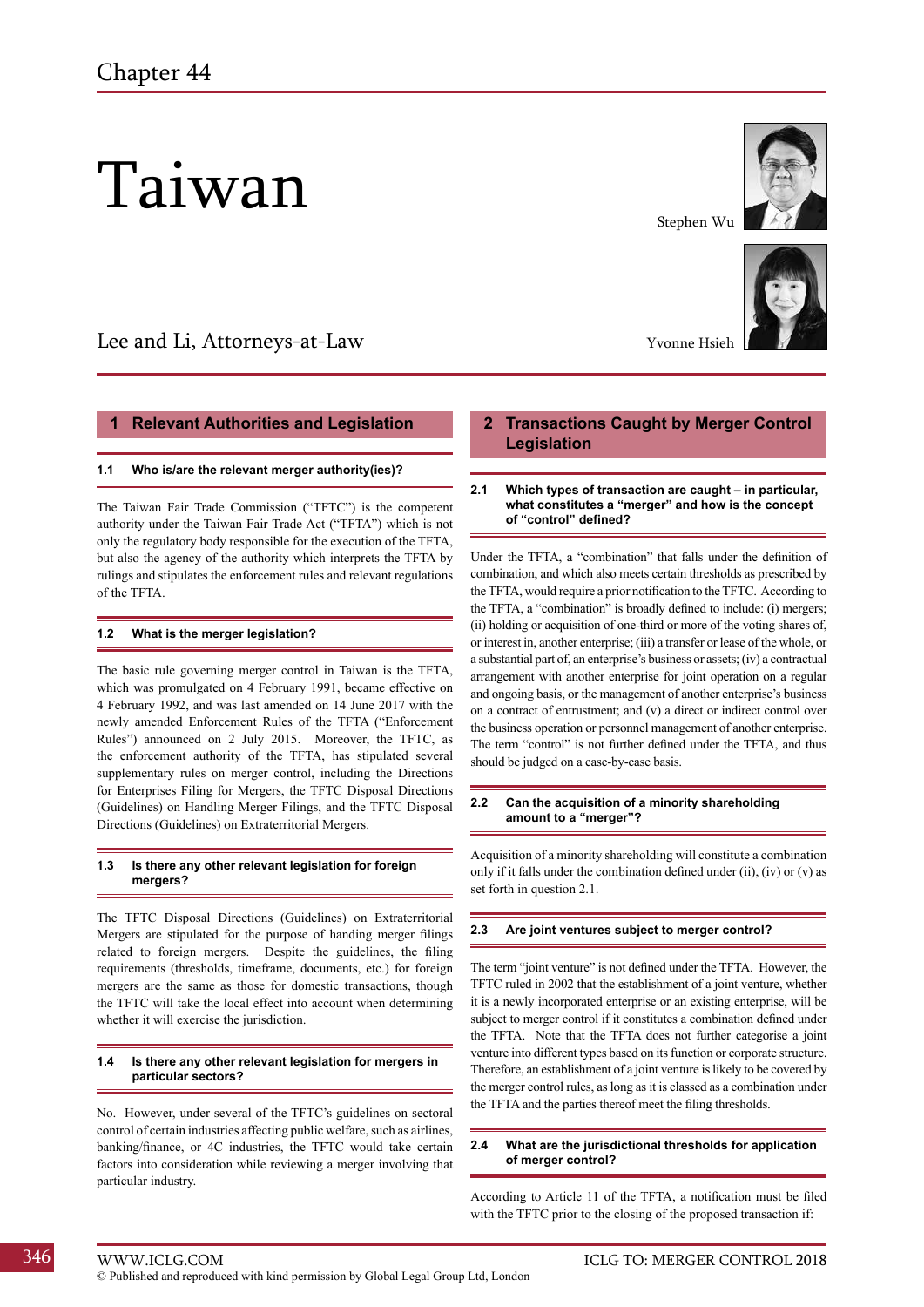# Taiwan

# Lee and Li, Attorneys-at-Law

#### **1 Relevant Authorities and Legislation**

#### **1.1 Who is/are the relevant merger authority(ies)?**

The Taiwan Fair Trade Commission ("TFTC") is the competent authority under the Taiwan Fair Trade Act ("TFTA") which is not only the regulatory body responsible for the execution of the TFTA, but also the agency of the authority which interprets the TFTA by rulings and stipulates the enforcement rules and relevant regulations of the TFTA.

#### **1.2 What is the merger legislation?**

The basic rule governing merger control in Taiwan is the TFTA, which was promulgated on 4 February 1991, became effective on 4 February 1992, and was last amended on 14 June 2017 with the newly amended Enforcement Rules of the TFTA ("Enforcement Rules") announced on 2 July 2015. Moreover, the TFTC, as the enforcement authority of the TFTA, has stipulated several supplementary rules on merger control, including the Directions for Enterprises Filing for Mergers, the TFTC Disposal Directions (Guidelines) on Handling Merger Filings, and the TFTC Disposal Directions (Guidelines) on Extraterritorial Mergers.

#### **1.3 Is there any other relevant legislation for foreign mergers?**

The TFTC Disposal Directions (Guidelines) on Extraterritorial Mergers are stipulated for the purpose of handing merger filings related to foreign mergers. Despite the guidelines, the filing requirements (thresholds, timeframe, documents, etc.) for foreign mergers are the same as those for domestic transactions, though the TFTC will take the local effect into account when determining whether it will exercise the jurisdiction.

#### **1.4 Is there any other relevant legislation for mergers in particular sectors?**

No. However, under several of the TFTC's guidelines on sectoral control of certain industries affecting public welfare, such as airlines, banking/finance, or 4C industries, the TFTC would take certain factors into consideration while reviewing a merger involving that particular industry.

## **2 Transactions Caught by Merger Control Legislation**

Stephen Wu

Yvonne Hsieh

#### **2.1 Which types of transaction are caught – in particular, what constitutes a "merger" and how is the concept of "control" defined?**

Under the TFTA, a "combination" that falls under the definition of combination, and which also meets certain thresholds as prescribed by the TFTA, would require a prior notification to the TFTC. According to the TFTA, a "combination" is broadly defined to include: (i) mergers; (ii) holding or acquisition of one-third or more of the voting shares of, or interest in, another enterprise; (iii) a transfer or lease of the whole, or a substantial part of, an enterprise's business or assets; (iv) a contractual arrangement with another enterprise for joint operation on a regular and ongoing basis, or the management of another enterprise's business on a contract of entrustment; and (v) a direct or indirect control over the business operation or personnel management of another enterprise. The term "control" is not further defined under the TFTA, and thus should be judged on a case-by-case basis.

#### **2.2 Can the acquisition of a minority shareholding amount to a "merger"?**

Acquisition of a minority shareholding will constitute a combination only if it falls under the combination defined under (ii), (iv) or (v) as set forth in question 2.1.

#### **2.3 Are joint ventures subject to merger control?**

The term "joint venture" is not defined under the TFTA. However, the TFTC ruled in 2002 that the establishment of a joint venture, whether it is a newly incorporated enterprise or an existing enterprise, will be subject to merger control if it constitutes a combination defined under the TFTA. Note that the TFTA does not further categorise a joint venture into different types based on its function or corporate structure. Therefore, an establishment of a joint venture is likely to be covered by the merger control rules, as long as it is classed as a combination under the TFTA and the parties thereof meet the filing thresholds.

#### **2.4 What are the jurisdictional thresholds for application of merger control?**

According to Article 11 of the TFTA, a notification must be filed with the TFTC prior to the closing of the proposed transaction if:



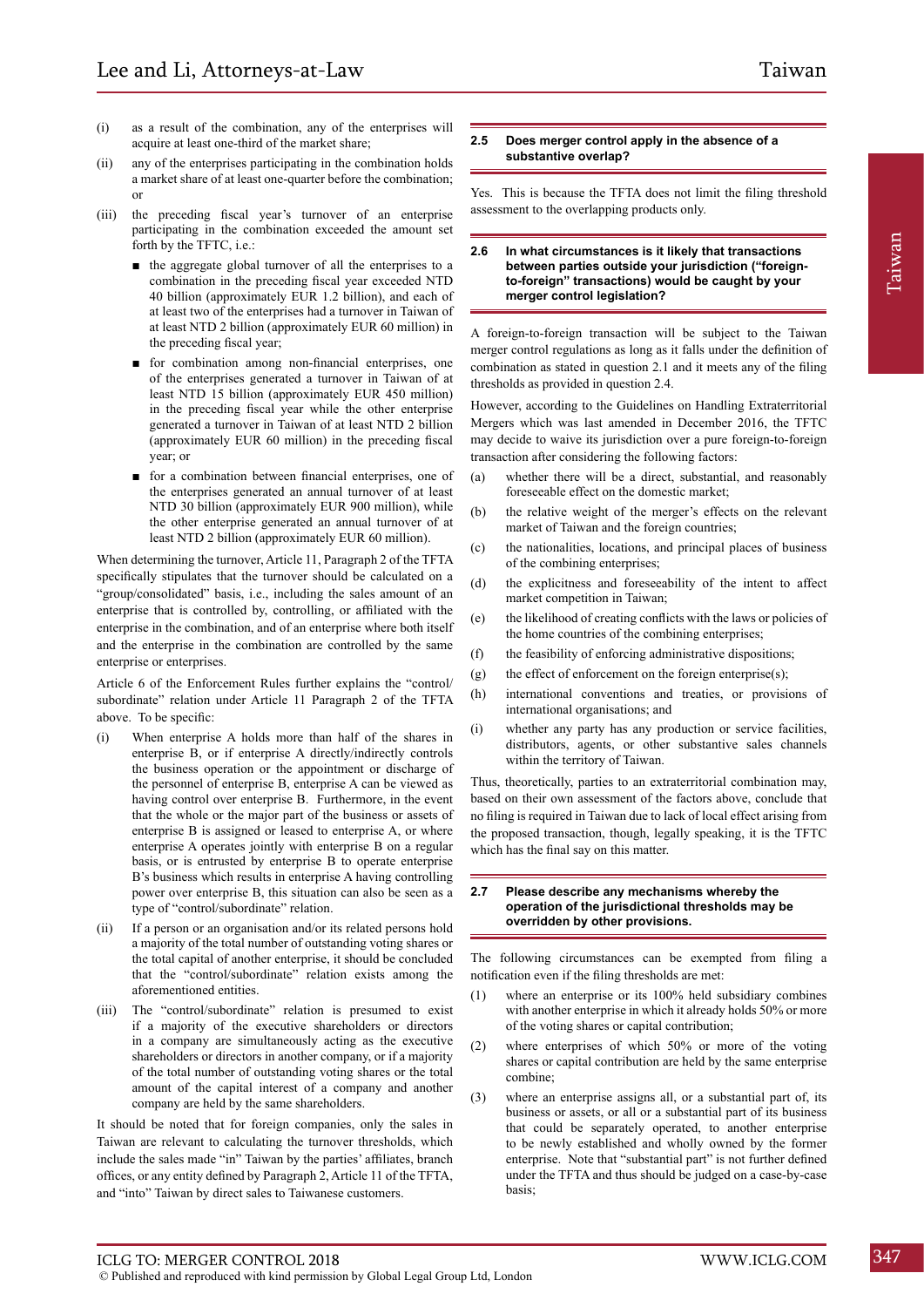- (i) as a result of the combination, any of the enterprises will acquire at least one-third of the market share;
- (ii) any of the enterprises participating in the combination holds a market share of at least one-quarter before the combination; or
- (iii) the preceding fiscal year's turnover of an enterprise participating in the combination exceeded the amount set forth by the TFTC, i.e.:
	- the aggregate global turnover of all the enterprises to a combination in the preceding fiscal year exceeded NTD 40 billion (approximately EUR 1.2 billion), and each of at least two of the enterprises had a turnover in Taiwan of at least NTD 2 billion (approximately EUR 60 million) in the preceding fiscal year;
	- for combination among non-financial enterprises, one of the enterprises generated a turnover in Taiwan of at least NTD 15 billion (approximately EUR 450 million) in the preceding fiscal year while the other enterprise generated a turnover in Taiwan of at least NTD 2 billion (approximately EUR 60 million) in the preceding fiscal year; or
	- for a combination between financial enterprises, one of the enterprises generated an annual turnover of at least NTD 30 billion (approximately EUR 900 million), while the other enterprise generated an annual turnover of at least NTD 2 billion (approximately EUR 60 million).

When determining the turnover, Article 11, Paragraph 2 of the TFTA specifically stipulates that the turnover should be calculated on a "group/consolidated" basis, i.e., including the sales amount of an enterprise that is controlled by, controlling, or affiliated with the enterprise in the combination, and of an enterprise where both itself and the enterprise in the combination are controlled by the same enterprise or enterprises.

Article 6 of the Enforcement Rules further explains the "control/ subordinate" relation under Article 11 Paragraph 2 of the TFTA above. To be specific:

- (i) When enterprise A holds more than half of the shares in enterprise B, or if enterprise A directly/indirectly controls the business operation or the appointment or discharge of the personnel of enterprise B, enterprise A can be viewed as having control over enterprise B. Furthermore, in the event that the whole or the major part of the business or assets of enterprise B is assigned or leased to enterprise A, or where enterprise A operates jointly with enterprise B on a regular basis, or is entrusted by enterprise B to operate enterprise B's business which results in enterprise A having controlling power over enterprise B, this situation can also be seen as a type of "control/subordinate" relation.
- (ii) If a person or an organisation and/or its related persons hold a majority of the total number of outstanding voting shares or the total capital of another enterprise, it should be concluded that the "control/subordinate" relation exists among the aforementioned entities.
- (iii) The "control/subordinate" relation is presumed to exist if a majority of the executive shareholders or directors in a company are simultaneously acting as the executive shareholders or directors in another company, or if a majority of the total number of outstanding voting shares or the total amount of the capital interest of a company and another company are held by the same shareholders.

It should be noted that for foreign companies, only the sales in Taiwan are relevant to calculating the turnover thresholds, which include the sales made "in" Taiwan by the parties' affiliates, branch offices, or any entity defined by Paragraph 2, Article 11 of the TFTA, and "into" Taiwan by direct sales to Taiwanese customers.

#### **2.5 Does merger control apply in the absence of a substantive overlap?**

Yes. This is because the TFTA does not limit the filing threshold assessment to the overlapping products only.

#### **2.6 In what circumstances is it likely that transactions between parties outside your jurisdiction ("foreignto-foreign" transactions) would be caught by your merger control legislation?**

A foreign-to-foreign transaction will be subject to the Taiwan merger control regulations as long as it falls under the definition of combination as stated in question 2.1 and it meets any of the filing thresholds as provided in question 2.4.

However, according to the Guidelines on Handling Extraterritorial Mergers which was last amended in December 2016, the TFTC may decide to waive its jurisdiction over a pure foreign-to-foreign transaction after considering the following factors:

- (a) whether there will be a direct, substantial, and reasonably foreseeable effect on the domestic market;
- (b) the relative weight of the merger's effects on the relevant market of Taiwan and the foreign countries;
- (c) the nationalities, locations, and principal places of business of the combining enterprises;
- (d) the explicitness and foreseeability of the intent to affect market competition in Taiwan;
- (e) the likelihood of creating conflicts with the laws or policies of the home countries of the combining enterprises;
- (f) the feasibility of enforcing administrative dispositions;
- (g) the effect of enforcement on the foreign enterprise $(s)$ ;
- (h) international conventions and treaties, or provisions of international organisations; and
- (i) whether any party has any production or service facilities, distributors, agents, or other substantive sales channels within the territory of Taiwan.

Thus, theoretically, parties to an extraterritorial combination may, based on their own assessment of the factors above, conclude that no filing is required in Taiwan due to lack of local effect arising from the proposed transaction, though, legally speaking, it is the TFTC which has the final say on this matter.

#### **2.7 Please describe any mechanisms whereby the operation of the jurisdictional thresholds may be overridden by other provisions.**

The following circumstances can be exempted from filing a notification even if the filing thresholds are met:

- (1) where an enterprise or its 100% held subsidiary combines with another enterprise in which it already holds 50% or more of the voting shares or capital contribution;
- (2) where enterprises of which 50% or more of the voting shares or capital contribution are held by the same enterprise combine;
- (3) where an enterprise assigns all, or a substantial part of, its business or assets, or all or a substantial part of its business that could be separately operated, to another enterprise to be newly established and wholly owned by the former enterprise. Note that "substantial part" is not further defined under the TFTA and thus should be judged on a case-by-case basis;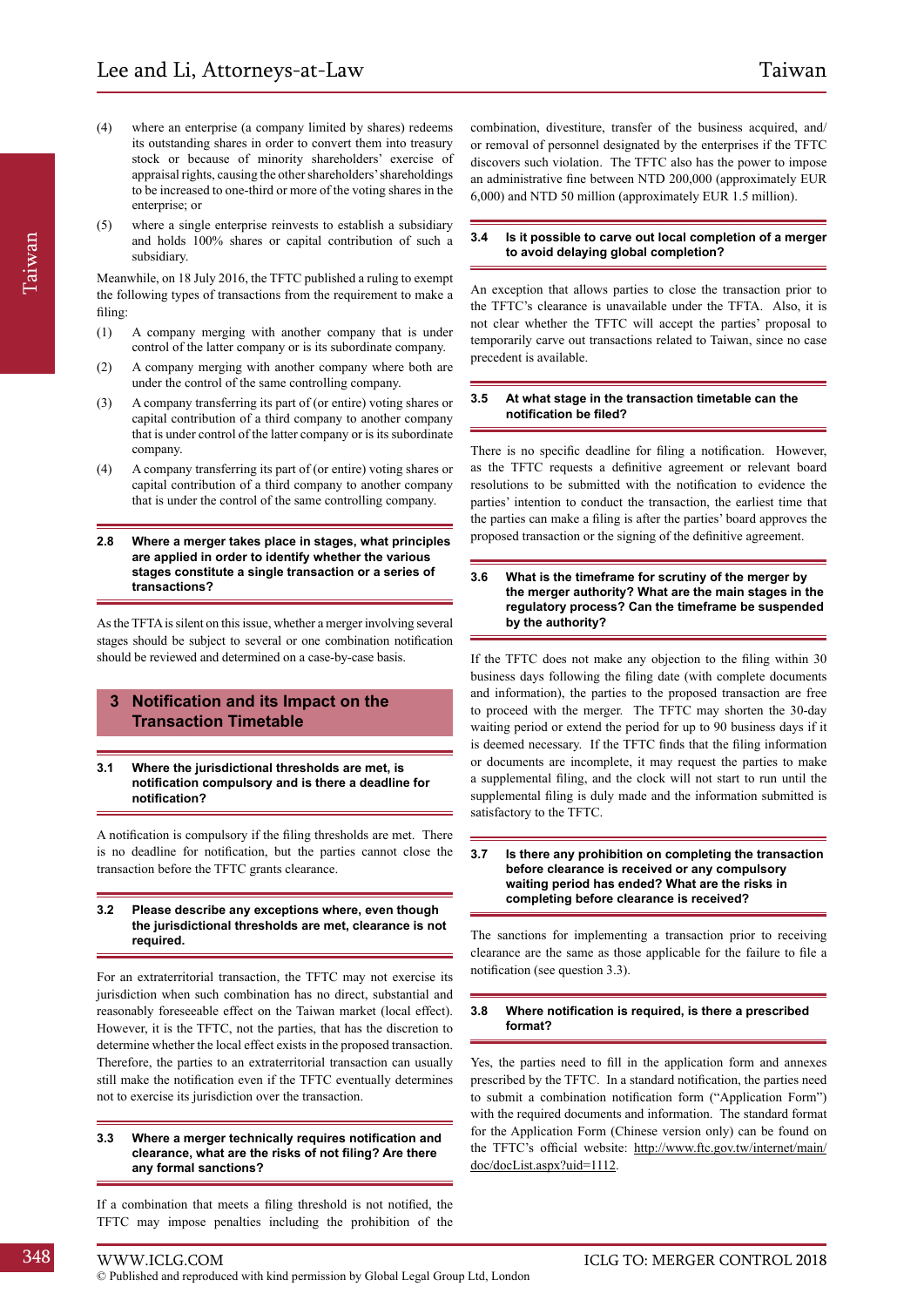- (4) where an enterprise (a company limited by shares) redeems its outstanding shares in order to convert them into treasury stock or because of minority shareholders' exercise of appraisal rights, causing the other shareholders' shareholdings to be increased to one-third or more of the voting shares in the enterprise; or
- (5) where a single enterprise reinvests to establish a subsidiary and holds 100% shares or capital contribution of such a subsidiary.

Meanwhile, on 18 July 2016, the TFTC published a ruling to exempt the following types of transactions from the requirement to make a filing:

- (1) A company merging with another company that is under control of the latter company or is its subordinate company.
- (2) A company merging with another company where both are under the control of the same controlling company.
- (3) A company transferring its part of (or entire) voting shares or capital contribution of a third company to another company that is under control of the latter company or is its subordinate company.
- (4) A company transferring its part of (or entire) voting shares or capital contribution of a third company to another company that is under the control of the same controlling company.
- **2.8 Where a merger takes place in stages, what principles are applied in order to identify whether the various stages constitute a single transaction or a series of transactions?**

As the TFTA is silent on this issue, whether a merger involving several stages should be subject to several or one combination notification should be reviewed and determined on a case-by-case basis.

#### **3 Notification and its Impact on the Transaction Timetable**

#### **3.1 Where the jurisdictional thresholds are met, is notification compulsory and is there a deadline for notification?**

A notification is compulsory if the filing thresholds are met. There is no deadline for notification, but the parties cannot close the transaction before the TFTC grants clearance.

#### **3.2 Please describe any exceptions where, even though the jurisdictional thresholds are met, clearance is not required.**

For an extraterritorial transaction, the TFTC may not exercise its jurisdiction when such combination has no direct, substantial and reasonably foreseeable effect on the Taiwan market (local effect). However, it is the TFTC, not the parties, that has the discretion to determine whether the local effect exists in the proposed transaction. Therefore, the parties to an extraterritorial transaction can usually still make the notification even if the TFTC eventually determines not to exercise its jurisdiction over the transaction.

#### **3.3 Where a merger technically requires notification and clearance, what are the risks of not filing? Are there any formal sanctions?**

If a combination that meets a filing threshold is not notified, the TFTC may impose penalties including the prohibition of the

combination, divestiture, transfer of the business acquired, and/ or removal of personnel designated by the enterprises if the TFTC discovers such violation. The TFTC also has the power to impose an administrative fine between NTD 200,000 (approximately EUR 6,000) and NTD 50 million (approximately EUR 1.5 million).

#### **3.4 Is it possible to carve out local completion of a merger to avoid delaying global completion?**

An exception that allows parties to close the transaction prior to the TFTC's clearance is unavailable under the TFTA. Also, it is not clear whether the TFTC will accept the parties' proposal to temporarily carve out transactions related to Taiwan, since no case precedent is available.

#### **3.5 At what stage in the transaction timetable can the notification be filed?**

There is no specific deadline for filing a notification. However, as the TFTC requests a definitive agreement or relevant board resolutions to be submitted with the notification to evidence the parties' intention to conduct the transaction, the earliest time that the parties can make a filing is after the parties' board approves the proposed transaction or the signing of the definitive agreement.

#### **3.6 What is the timeframe for scrutiny of the merger by the merger authority? What are the main stages in the regulatory process? Can the timeframe be suspended by the authority?**

If the TFTC does not make any objection to the filing within 30 business days following the filing date (with complete documents and information), the parties to the proposed transaction are free to proceed with the merger. The TFTC may shorten the 30-day waiting period or extend the period for up to 90 business days if it is deemed necessary. If the TFTC finds that the filing information or documents are incomplete, it may request the parties to make a supplemental filing, and the clock will not start to run until the supplemental filing is duly made and the information submitted is satisfactory to the TFTC.

#### **3.7 Is there any prohibition on completing the transaction before clearance is received or any compulsory waiting period has ended? What are the risks in completing before clearance is received?**

The sanctions for implementing a transaction prior to receiving clearance are the same as those applicable for the failure to file a notification (see question 3.3).

#### **3.8 Where notification is required, is there a prescribed format?**

Yes, the parties need to fill in the application form and annexes prescribed by the TFTC. In a standard notification, the parties need to submit a combination notification form ("Application Form") with the required documents and information. The standard format for the Application Form (Chinese version only) can be found on the TFTC's official website: http://www.ftc.gov.tw/internet/main/ doc/docList.aspx?uid=1112.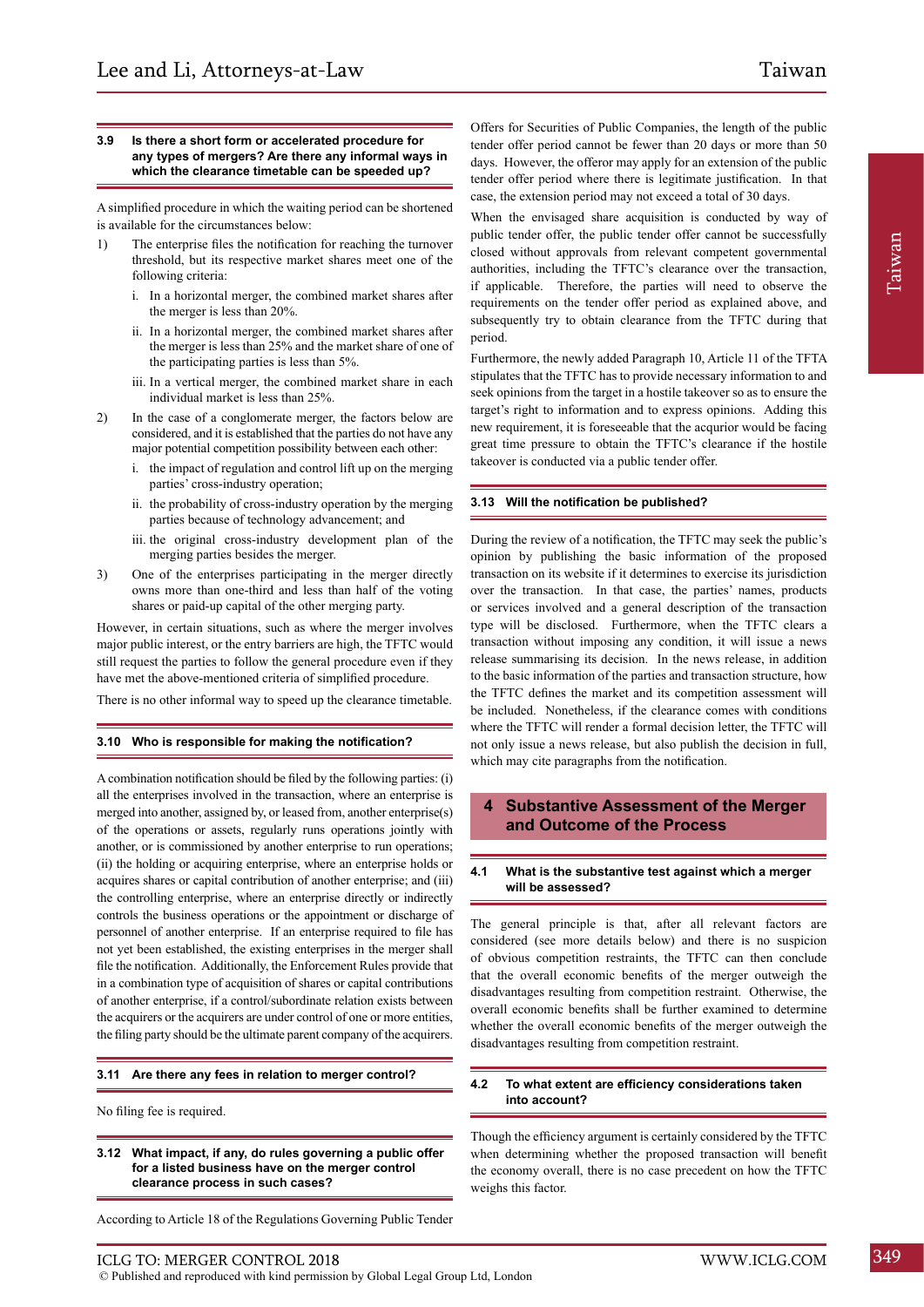#### **3.9 Is there a short form or accelerated procedure for any types of mergers? Are there any informal ways in which the clearance timetable can be speeded up?**

A simplified procedure in which the waiting period can be shortened is available for the circumstances below:

- 1) The enterprise files the notification for reaching the turnover threshold, but its respective market shares meet one of the following criteria:
	- i. In a horizontal merger, the combined market shares after the merger is less than 20%.
	- ii. In a horizontal merger, the combined market shares after the merger is less than 25% and the market share of one of the participating parties is less than 5%.
	- iii. In a vertical merger, the combined market share in each individual market is less than 25%.
- 2) In the case of a conglomerate merger, the factors below are considered, and it is established that the parties do not have any major potential competition possibility between each other:
	- i. the impact of regulation and control lift up on the merging parties' cross-industry operation;
	- ii. the probability of cross-industry operation by the merging parties because of technology advancement; and
	- iii. the original cross-industry development plan of the merging parties besides the merger.
- 3) One of the enterprises participating in the merger directly owns more than one-third and less than half of the voting shares or paid-up capital of the other merging party.

However, in certain situations, such as where the merger involves major public interest, or the entry barriers are high, the TFTC would still request the parties to follow the general procedure even if they have met the above-mentioned criteria of simplified procedure.

There is no other informal way to speed up the clearance timetable.

#### **3.10 Who is responsible for making the notification?**

A combination notification should be filed by the following parties: (i) all the enterprises involved in the transaction, where an enterprise is merged into another, assigned by, or leased from, another enterprise(s) of the operations or assets, regularly runs operations jointly with another, or is commissioned by another enterprise to run operations; (ii) the holding or acquiring enterprise, where an enterprise holds or acquires shares or capital contribution of another enterprise; and (iii) the controlling enterprise, where an enterprise directly or indirectly controls the business operations or the appointment or discharge of personnel of another enterprise. If an enterprise required to file has not yet been established, the existing enterprises in the merger shall file the notification. Additionally, the Enforcement Rules provide that in a combination type of acquisition of shares or capital contributions of another enterprise, if a control/subordinate relation exists between the acquirers or the acquirers are under control of one or more entities, the filing party should be the ultimate parent company of the acquirers.

#### **3.11 Are there any fees in relation to merger control?**

No filing fee is required.

**3.12 What impact, if any, do rules governing a public offer for a listed business have on the merger control clearance process in such cases?**

According to Article 18 of the Regulations Governing Public Tender

© Published and reproduced with kind permission by Global Legal Group Ltd, London

When the envisaged share acquisition is conducted by way of public tender offer, the public tender offer cannot be successfully closed without approvals from relevant competent governmental authorities, including the TFTC's clearance over the transaction, if applicable. Therefore, the parties will need to observe the requirements on the tender offer period as explained above, and subsequently try to obtain clearance from the TFTC during that period.

Furthermore, the newly added Paragraph 10, Article 11 of the TFTA stipulates that the TFTC has to provide necessary information to and seek opinions from the target in a hostile takeover so as to ensure the target's right to information and to express opinions. Adding this new requirement, it is foreseeable that the acqurior would be facing great time pressure to obtain the TFTC's clearance if the hostile takeover is conducted via a public tender offer.

#### **3.13 Will the notification be published?**

During the review of a notification, the TFTC may seek the public's opinion by publishing the basic information of the proposed transaction on its website if it determines to exercise its jurisdiction over the transaction. In that case, the parties' names, products or services involved and a general description of the transaction type will be disclosed. Furthermore, when the TFTC clears a transaction without imposing any condition, it will issue a news release summarising its decision. In the news release, in addition to the basic information of the parties and transaction structure, how the TFTC defines the market and its competition assessment will be included. Nonetheless, if the clearance comes with conditions where the TFTC will render a formal decision letter, the TFTC will not only issue a news release, but also publish the decision in full, which may cite paragraphs from the notification.

#### **4 Substantive Assessment of the Merger and Outcome of the Process**

#### **4.1 What is the substantive test against which a merger will be assessed?**

The general principle is that, after all relevant factors are considered (see more details below) and there is no suspicion of obvious competition restraints, the TFTC can then conclude that the overall economic benefits of the merger outweigh the disadvantages resulting from competition restraint. Otherwise, the overall economic benefits shall be further examined to determine whether the overall economic benefits of the merger outweigh the disadvantages resulting from competition restraint.

#### **4.2 To what extent are efficiency considerations taken into account?**

Though the efficiency argument is certainly considered by the TFTC when determining whether the proposed transaction will benefit the economy overall, there is no case precedent on how the TFTC weighs this factor.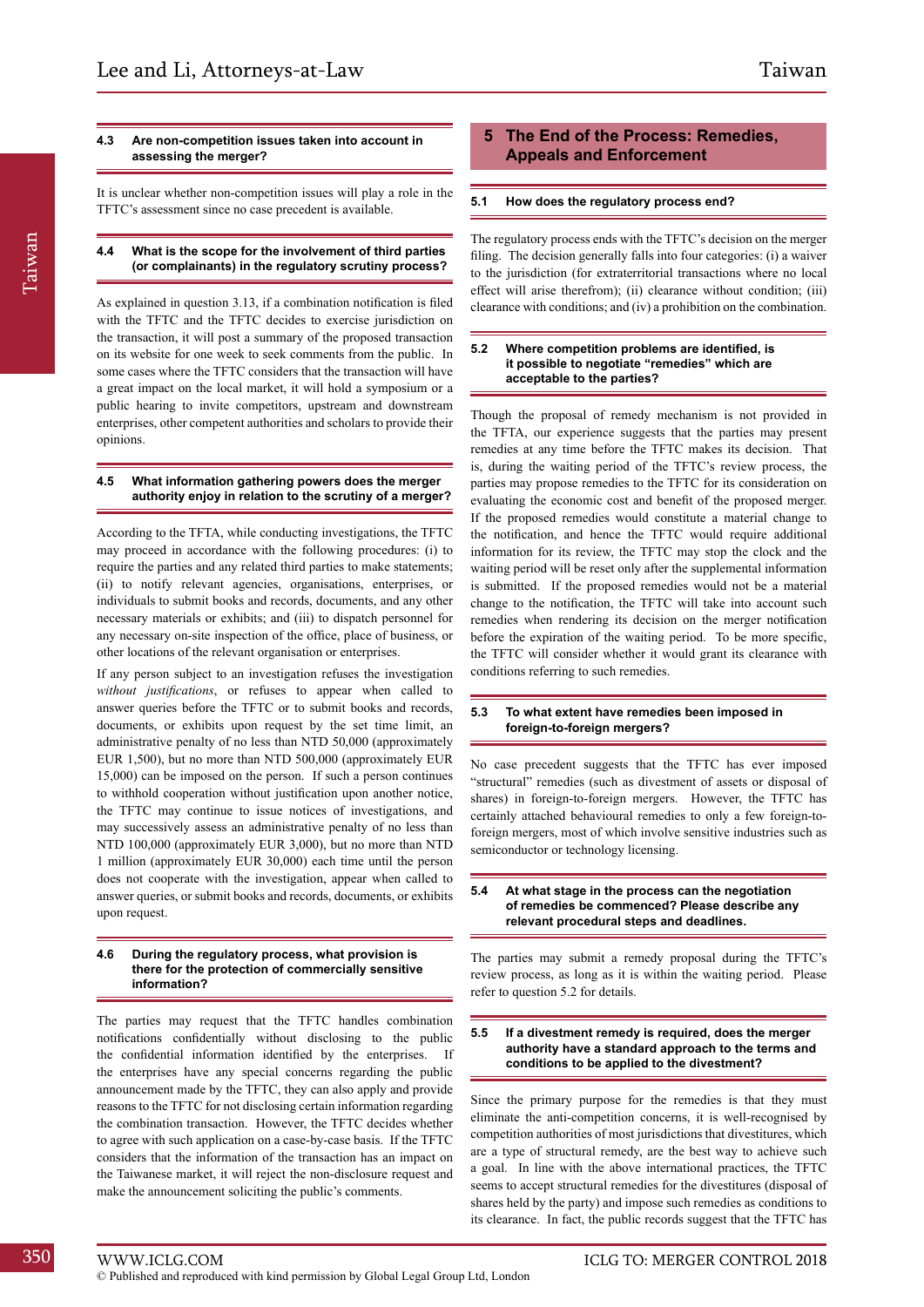#### **4.3 Are non-competition issues taken into account in assessing the merger?**

It is unclear whether non-competition issues will play a role in the TFTC's assessment since no case precedent is available.

#### **4.4 What is the scope for the involvement of third parties (or complainants) in the regulatory scrutiny process?**

As explained in question 3.13, if a combination notification is filed with the TFTC and the TFTC decides to exercise jurisdiction on the transaction, it will post a summary of the proposed transaction on its website for one week to seek comments from the public. In some cases where the TFTC considers that the transaction will have a great impact on the local market, it will hold a symposium or a public hearing to invite competitors, upstream and downstream enterprises, other competent authorities and scholars to provide their opinions.

#### **4.5 What information gathering powers does the merger authority enjoy in relation to the scrutiny of a merger?**

According to the TFTA, while conducting investigations, the TFTC may proceed in accordance with the following procedures: (i) to require the parties and any related third parties to make statements; (ii) to notify relevant agencies, organisations, enterprises, or individuals to submit books and records, documents, and any other necessary materials or exhibits; and (iii) to dispatch personnel for any necessary on-site inspection of the office, place of business, or other locations of the relevant organisation or enterprises.

If any person subject to an investigation refuses the investigation *without justifications*, or refuses to appear when called to answer queries before the TFTC or to submit books and records, documents, or exhibits upon request by the set time limit, an administrative penalty of no less than NTD 50,000 (approximately EUR 1,500), but no more than NTD 500,000 (approximately EUR 15,000) can be imposed on the person. If such a person continues to withhold cooperation without justification upon another notice, the TFTC may continue to issue notices of investigations, and may successively assess an administrative penalty of no less than NTD 100,000 (approximately EUR 3,000), but no more than NTD 1 million (approximately EUR 30,000) each time until the person does not cooperate with the investigation, appear when called to answer queries, or submit books and records, documents, or exhibits upon request.

#### **4.6 During the regulatory process, what provision is there for the protection of commercially sensitive information?**

The parties may request that the TFTC handles combination notifications confidentially without disclosing to the public the confidential information identified by the enterprises. If the enterprises have any special concerns regarding the public announcement made by the TFTC, they can also apply and provide reasons to the TFTC for not disclosing certain information regarding the combination transaction. However, the TFTC decides whether to agree with such application on a case-by-case basis. If the TFTC considers that the information of the transaction has an impact on the Taiwanese market, it will reject the non-disclosure request and make the announcement soliciting the public's comments.

#### **5 The End of the Process: Remedies, Appeals and Enforcement**

#### **5.1 How does the regulatory process end?**

The regulatory process ends with the TFTC's decision on the merger filing. The decision generally falls into four categories: (i) a waiver to the jurisdiction (for extraterritorial transactions where no local effect will arise therefrom); (ii) clearance without condition; (iii) clearance with conditions; and (iv) a prohibition on the combination.

#### **5.2 Where competition problems are identified, is it possible to negotiate "remedies" which are acceptable to the parties?**

Though the proposal of remedy mechanism is not provided in the TFTA, our experience suggests that the parties may present remedies at any time before the TFTC makes its decision. That is, during the waiting period of the TFTC's review process, the parties may propose remedies to the TFTC for its consideration on evaluating the economic cost and benefit of the proposed merger. If the proposed remedies would constitute a material change to the notification, and hence the TFTC would require additional information for its review, the TFTC may stop the clock and the waiting period will be reset only after the supplemental information is submitted. If the proposed remedies would not be a material change to the notification, the TFTC will take into account such remedies when rendering its decision on the merger notification before the expiration of the waiting period. To be more specific, the TFTC will consider whether it would grant its clearance with conditions referring to such remedies.

#### **5.3 To what extent have remedies been imposed in foreign-to-foreign mergers?**

No case precedent suggests that the TFTC has ever imposed "structural" remedies (such as divestment of assets or disposal of shares) in foreign-to-foreign mergers. However, the TFTC has certainly attached behavioural remedies to only a few foreign-toforeign mergers, most of which involve sensitive industries such as semiconductor or technology licensing.

#### **5.4 At what stage in the process can the negotiation of remedies be commenced? Please describe any relevant procedural steps and deadlines.**

The parties may submit a remedy proposal during the TFTC's review process, as long as it is within the waiting period. Please refer to question 5.2 for details.

#### **5.5 If a divestment remedy is required, does the merger authority have a standard approach to the terms and conditions to be applied to the divestment?**

Since the primary purpose for the remedies is that they must eliminate the anti-competition concerns, it is well-recognised by competition authorities of most jurisdictions that divestitures, which are a type of structural remedy, are the best way to achieve such a goal. In line with the above international practices, the TFTC seems to accept structural remedies for the divestitures (disposal of shares held by the party) and impose such remedies as conditions to its clearance. In fact, the public records suggest that the TFTC has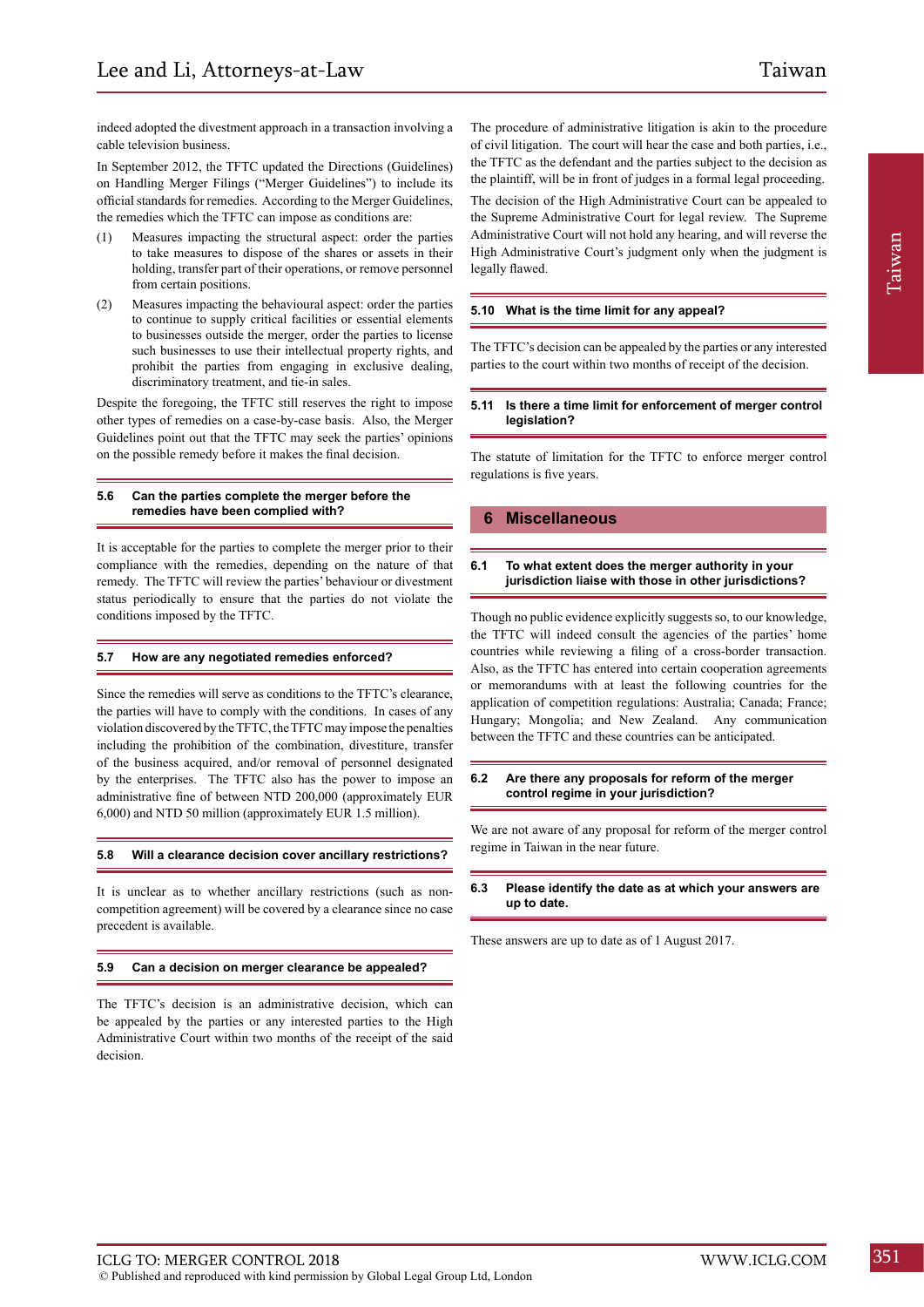indeed adopted the divestment approach in a transaction involving a cable television business.

In September 2012, the TFTC updated the Directions (Guidelines) on Handling Merger Filings ("Merger Guidelines") to include its official standards for remedies. According to the Merger Guidelines, the remedies which the TFTC can impose as conditions are:

- (1) Measures impacting the structural aspect: order the parties to take measures to dispose of the shares or assets in their holding, transfer part of their operations, or remove personnel from certain positions.
- (2) Measures impacting the behavioural aspect: order the parties to continue to supply critical facilities or essential elements to businesses outside the merger, order the parties to license such businesses to use their intellectual property rights, and prohibit the parties from engaging in exclusive dealing, discriminatory treatment, and tie-in sales.

Despite the foregoing, the TFTC still reserves the right to impose other types of remedies on a case-by-case basis. Also, the Merger Guidelines point out that the TFTC may seek the parties' opinions on the possible remedy before it makes the final decision.

#### **5.6 Can the parties complete the merger before the remedies have been complied with?**

It is acceptable for the parties to complete the merger prior to their compliance with the remedies, depending on the nature of that remedy. The TFTC will review the parties' behaviour or divestment status periodically to ensure that the parties do not violate the conditions imposed by the TFTC.

#### **5.7 How are any negotiated remedies enforced?**

Since the remedies will serve as conditions to the TFTC's clearance, the parties will have to comply with the conditions. In cases of any violation discovered by the TFTC, the TFTC may impose the penalties including the prohibition of the combination, divestiture, transfer of the business acquired, and/or removal of personnel designated by the enterprises. The TFTC also has the power to impose an administrative fine of between NTD 200,000 (approximately EUR 6,000) and NTD 50 million (approximately EUR 1.5 million).

#### **5.8 Will a clearance decision cover ancillary restrictions?**

It is unclear as to whether ancillary restrictions (such as noncompetition agreement) will be covered by a clearance since no case precedent is available.

#### **5.9 Can a decision on merger clearance be appealed?**

The TFTC's decision is an administrative decision, which can be appealed by the parties or any interested parties to the High Administrative Court within two months of the receipt of the said decision.

The procedure of administrative litigation is akin to the procedure of civil litigation. The court will hear the case and both parties, i.e., the TFTC as the defendant and the parties subject to the decision as the plaintiff, will be in front of judges in a formal legal proceeding.

The decision of the High Administrative Court can be appealed to the Supreme Administrative Court for legal review. The Supreme Administrative Court will not hold any hearing, and will reverse the High Administrative Court's judgment only when the judgment is legally flawed.

#### **5.10 What is the time limit for any appeal?**

The TFTC's decision can be appealed by the parties or any interested parties to the court within two months of receipt of the decision.

#### **5.11 Is there a time limit for enforcement of merger control legislation?**

The statute of limitation for the TFTC to enforce merger control regulations is five years.

#### **6 Miscellaneous**

#### **6.1 To what extent does the merger authority in your jurisdiction liaise with those in other jurisdictions?**

Though no public evidence explicitly suggests so, to our knowledge, the TFTC will indeed consult the agencies of the parties' home countries while reviewing a filing of a cross-border transaction. Also, as the TFTC has entered into certain cooperation agreements or memorandums with at least the following countries for the application of competition regulations: Australia; Canada; France; Hungary; Mongolia; and New Zealand. Any communication between the TFTC and these countries can be anticipated.

#### **6.2 Are there any proposals for reform of the merger control regime in your jurisdiction?**

We are not aware of any proposal for reform of the merger control regime in Taiwan in the near future.

#### **6.3 Please identify the date as at which your answers are up to date.**

These answers are up to date as of 1 August 2017.

Taiwan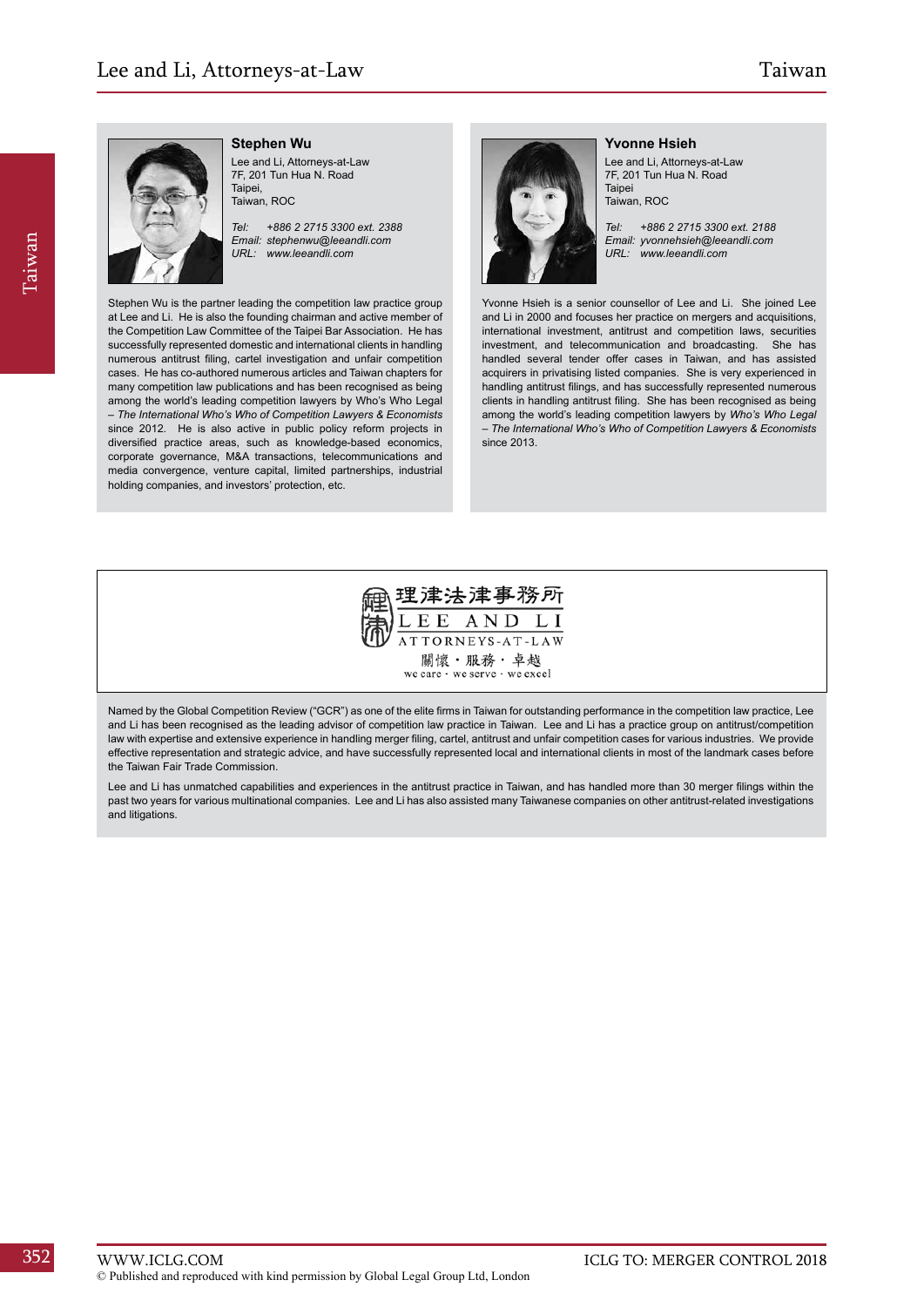# Taiwan, ROC

#### **Stephen Wu**

Lee and Li, Attorneys-at-Law 7F, 201 Tun Hua N. Road Taipei,

*Tel: +886 2 2715 3300 ext. 2388 Email: stephenwu@leeandli.com URL: www.leeandli.com*

Stephen Wu is the partner leading the competition law practice group at Lee and Li. He is also the founding chairman and active member of the Competition Law Committee of the Taipei Bar Association. He has successfully represented domestic and international clients in handling numerous antitrust filing, cartel investigation and unfair competition cases. He has co-authored numerous articles and Taiwan chapters for many competition law publications and has been recognised as being among the world's leading competition lawyers by Who's Who Legal – *The International Who's Who of Competition Lawyers & Economists*  since 2012. He is also active in public policy reform projects in diversified practice areas, such as knowledge-based economics, corporate governance, M&A transactions, telecommunications and media convergence, venture capital, limited partnerships, industrial holding companies, and investors' protection, etc.



**Yvonne Hsieh**

Lee and Li, Attorneys-at-Law 7F, 201 Tun Hua N. Road **Taipei** Taiwan, ROC

*Tel: +886 2 2715 3300 ext. 2188 Email: yvonnehsieh@leeandli.com URL: www.leeandli.com*

Yvonne Hsieh is a senior counsellor of Lee and Li. She joined Lee and Li in 2000 and focuses her practice on mergers and acquisitions, international investment, antitrust and competition laws, securities investment, and telecommunication and broadcasting. She has handled several tender offer cases in Taiwan, and has assisted acquirers in privatising listed companies. She is very experienced in handling antitrust filings, and has successfully represented numerous clients in handling antitrust filing. She has been recognised as being among the world's leading competition lawyers by *Who's Who Legal – The International Who's Who of Competition Lawyers & Economists*  since 2013.



Named by the Global Competition Review ("GCR") as one of the elite firms in Taiwan for outstanding performance in the competition law practice, Lee and Li has been recognised as the leading advisor of competition law practice in Taiwan. Lee and Li has a practice group on antitrust/competition law with expertise and extensive experience in handling merger filing, cartel, antitrust and unfair competition cases for various industries. We provide effective representation and strategic advice, and have successfully represented local and international clients in most of the landmark cases before the Taiwan Fair Trade Commission.

Lee and Li has unmatched capabilities and experiences in the antitrust practice in Taiwan, and has handled more than 30 merger filings within the past two years for various multinational companies. Lee and Li has also assisted many Taiwanese companies on other antitrust-related investigations and litigations.